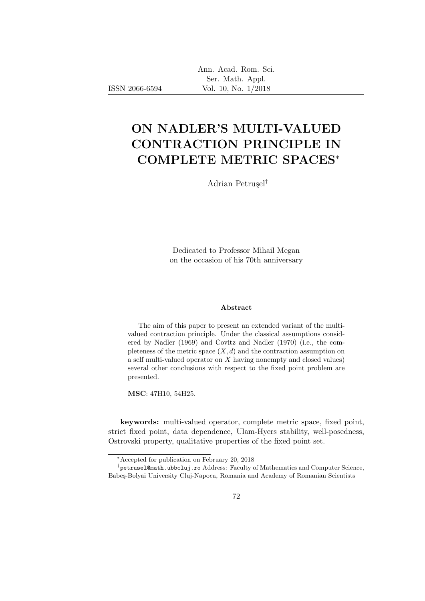Ann. Acad. Rom. Sci. Ser. Math. Appl. Vol. 10, No. 1/2018

# ON NADLER'S MULTI-VALUED CONTRACTION PRINCIPLE IN COMPLETE METRIC SPACES<sup>∗</sup>

Adrian Petrusel<sup>†</sup>

Dedicated to Professor Mihail Megan on the occasion of his 70th anniversary

#### Abstract

The aim of this paper to present an extended variant of the multivalued contraction principle. Under the classical assumptions considered by Nadler (1969) and Covitz and Nadler (1970) (i.e., the completeness of the metric space  $(X, d)$  and the contraction assumption on a self multi-valued operator on X having nonempty and closed values) several other conclusions with respect to the fixed point problem are presented.

MSC: 47H10, 54H25.

ISSN 2066-6594

keywords: multi-valued operator, complete metric space, fixed point, strict fixed point, data dependence, Ulam-Hyers stability, well-posedness, Ostrovski property, qualitative properties of the fixed point set.

<sup>∗</sup>Accepted for publication on February 20, 2018

<sup>&</sup>lt;sup>†</sup>petrusel@math.ubbcluj.ro Address: Faculty of Mathematics and Computer Science, Babeş-Bolyai University Cluj-Napoca, Romania and Academy of Romanian Scientists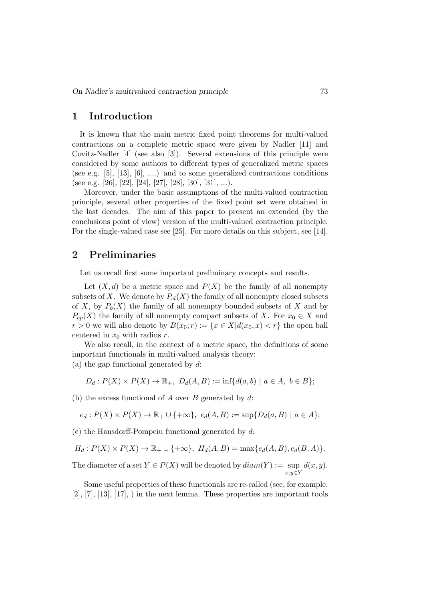### 1 Introduction

It is known that the main metric fixed point theorems for multi-valued contractions on a complete metric space were given by Nadler [11] and Covitz-Nadler [4] (see also [3]). Several extensions of this principle were considered by some authors to different types of generalized metric spaces (see e.g. [5], [13], [6], ....) and to some generalized contractions conditions (see e.g. [26], [22], [24], [27], [28], [30], [31], ...).

Moreover, under the basic assumptions of the multi-valued contraction principle, several other properties of the fixed point set were obtained in the last decades. The aim of this paper to present an extended (by the conclusions point of view) version of the multi-valued contraction principle. For the single-valued case see [25]. For more details on this subject, see [14].

## 2 Preliminaries

Let us recall first some important preliminary concepts and results.

Let  $(X, d)$  be a metric space and  $P(X)$  be the family of all nonempty subsets of X. We denote by  $P_{cl}(X)$  the family of all nonempty closed subsets of X, by  $P_b(X)$  the family of all nonempty bounded subsets of X and by  $P_{cp}(X)$  the family of all nonempty compact subsets of X. For  $x_0 \in X$  and  $r > 0$  we will also denote by  $B(x_0; r) := \{x \in X | d(x_0, x) < r\}$  the open ball centered in  $x_0$  with radius r.

We also recall, in the context of a metric space, the definitions of some important functionals in multi-valued analysis theory: (a) the gap functional generated by  $d$ :

$$
D_d: P(X) \times P(X) \to \mathbb{R}_+, \ D_d(A, B) := \inf \{ d(a, b) \mid a \in A, \ b \in B \};
$$

(b) the excess functional of A over B generated by  $d$ :

$$
e_d: P(X) \times P(X) \to \mathbb{R}_+ \cup \{+\infty\}, e_d(A, B) := \sup \{D_d(a, B) \mid a \in A\};
$$

 $(c)$  the Hausdorff-Pompeiu functional generated by d:

$$
H_d: P(X) \times P(X) \to \mathbb{R}_+ \cup \{+\infty\}, H_d(A, B) = \max\{e_d(A, B), e_d(B, A)\}.
$$

The diameter of a set  $Y \in P(X)$  will be denoted by  $diam(Y) := sup$  $x,y \in Y$  $d(x, y)$ .

Some useful properties of these functionals are re-called (see, for example,  $[2], [7], [13], [17],$  in the next lemma. These properties are important tools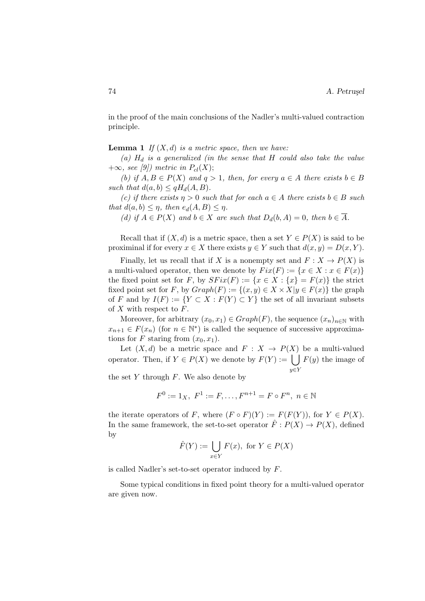in the proof of the main conclusions of the Nadler's multi-valued contraction principle.

**Lemma 1** If  $(X, d)$  is a metric space, then we have:

(a)  $H_d$  is a generalized (in the sense that H could also take the value  $+\infty$ , see [9]) metric in  $P_{cl}(X)$ ;

(b) if  $A, B \in P(X)$  and  $q > 1$ , then, for every  $a \in A$  there exists  $b \in B$ such that  $d(a, b) \leq qH_d(A, B)$ .

(c) if there exists  $\eta > 0$  such that for each  $a \in A$  there exists  $b \in B$  such that  $d(a, b) \leq \eta$ , then  $e_d(A, B) \leq \eta$ .

(d) if  $A \in P(X)$  and  $b \in X$  are such that  $D_d(b, A) = 0$ , then  $b \in \overline{A}$ .

Recall that if  $(X, d)$  is a metric space, then a set  $Y \in P(X)$  is said to be proximinal if for every  $x \in X$  there exists  $y \in Y$  such that  $d(x, y) = D(x, Y)$ .

Finally, let us recall that if X is a nonempty set and  $F: X \to P(X)$  is a multi-valued operator, then we denote by  $Fix(F) := \{x \in X : x \in F(x)\}\$ the fixed point set for F, by  $SFix(F) := \{x \in X : \{x\} = F(x)\}\)$  the strict fixed point set for F, by  $Graph(F) := \{(x, y) \in X \times X | y \in F(x)\}\)$  the graph of F and by  $I(F) := \{ Y \subset X : F(Y) \subset Y \}$  the set of all invariant subsets of  $X$  with respect to  $F$ .

Moreover, for arbitrary  $(x_0, x_1) \in Graph(F)$ , the sequence  $(x_n)_{n \in \mathbb{N}}$  with  $x_{n+1} \in F(x_n)$  (for  $n \in \mathbb{N}^*$ ) is called the sequence of successive approximations for F staring from  $(x_0, x_1)$ .

Let  $(X, d)$  be a metric space and  $F: X \to P(X)$  be a multi-valued operator. Then, if  $Y \in P(X)$  we denote by  $F(Y) := \begin{pmatrix} 1 \\ 1 \end{pmatrix}$  $y \in Y$  $F(y)$  the image of

the set  $Y$  through  $F$ . We also denote by

$$
F^0 := 1_X, \ F^1 := F, \dots, F^{n+1} = F \circ F^n, \ n \in \mathbb{N}
$$

the iterate operators of F, where  $(F \circ F)(Y) := F(F(Y))$ , for  $Y \in P(X)$ . In the same framework, the set-to-set operator  $\hat{F}: P(X) \to P(X)$ , defined by

$$
\hat{F}(Y) := \bigcup_{x \in Y} F(x), \text{ for } Y \in P(X)
$$

is called Nadler's set-to-set operator induced by F.

Some typical conditions in fixed point theory for a multi-valued operator are given now.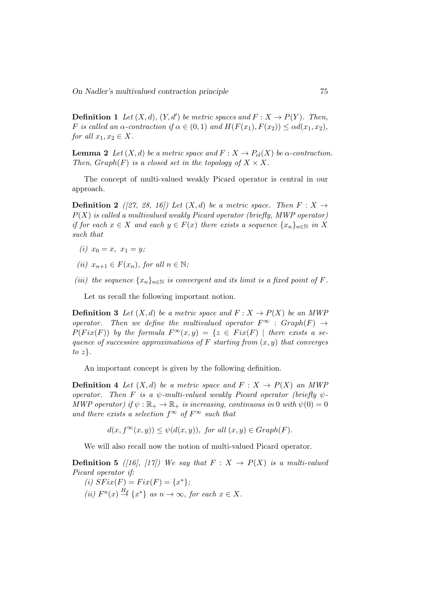On Nadler's multivalued contraction principle 75

**Definition 1** Let  $(X, d)$ ,  $(Y, d')$  be metric spaces and  $F : X \to P(Y)$ . Then, F is called an  $\alpha$ -contraction if  $\alpha \in (0,1)$  and  $H(F(x_1), F(x_2)) \leq \alpha d(x_1, x_2)$ , for all  $x_1, x_2 \in X$ .

**Lemma 2** Let  $(X, d)$  be a metric space and  $F: X \to P_{cl}(X)$  be  $\alpha$ -contraction. Then,  $Graph(F)$  is a closed set in the topology of  $X \times X$ .

The concept of multi-valued weakly Picard operator is central in our approach.

**Definition 2** ([27, 28, 16]) Let  $(X, d)$  be a metric space. Then  $F: X \rightarrow$  $P(X)$  is called a multivalued weakly Picard operator (briefly, MWP operator) if for each  $x \in X$  and each  $y \in F(x)$  there exists a sequence  $\{x_n\}_{n \in \mathbb{N}}$  in X such that

- (i)  $x_0 = x, x_1 = y;$
- (ii)  $x_{n+1} \in F(x_n)$ , for all  $n \in \mathbb{N}$ ;
- (iii) the sequence  $\{x_n\}_{n\in\mathbb{N}}$  is convergent and its limit is a fixed point of F.

Let us recall the following important notion.

**Definition 3** Let  $(X, d)$  be a metric space and  $F: X \to P(X)$  be an MWP operator. Then we define the multivalued operator  $F^{\infty}$  :  $Graph(F) \rightarrow$  $P(Fix(F))$  by the formula  $F^{\infty}(x, y) = \{z \in Fix(F) \mid \text{there exists a se-} \}$ quence of successive approximations of F starting from  $(x, y)$  that converges to  $z$ .

An important concept is given by the following definition.

**Definition 4** Let  $(X,d)$  be a metric space and  $F: X \to P(X)$  an MWP operator. Then F is a  $\psi$ -multi-valued weakly Picard operator (briefly  $\psi$ -MWP operator) if  $\psi : \mathbb{R}_+ \to \mathbb{R}_+$  is increasing, continuous in 0 with  $\psi(0) = 0$ and there exists a selection  $f^{\infty}$  of  $F^{\infty}$  such that

 $d(x, f^{\infty}(x, y)) \leq \psi(d(x, y)),$  for all  $(x, y) \in Graph(F)$ .

We will also recall now the notion of multi-valued Picard operator.

**Definition 5** ([16], [17]) We say that  $F: X \rightarrow P(X)$  is a multi-valued Picard operator if:

(i)  $SFix(F) = Fix(F) = \{x^*\};$ (ii)  $F^{n}(x) \stackrel{H_d}{\rightarrow} \{x^*\}$  as  $n \to \infty$ , for each  $x \in X$ .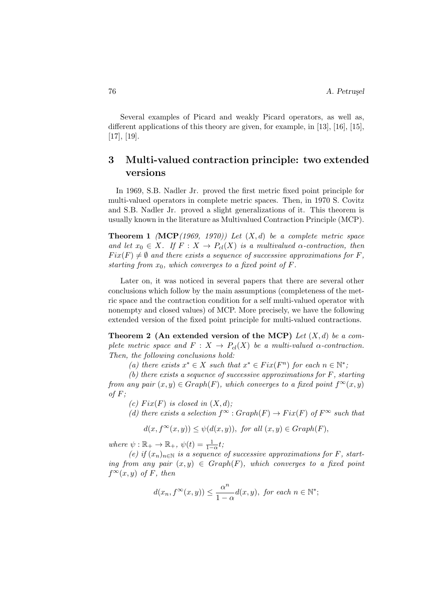Several examples of Picard and weakly Picard operators, as well as, different applications of this theory are given, for example, in [13], [16], [15], [17], [19].

## 3 Multi-valued contraction principle: two extended versions

In 1969, S.B. Nadler Jr. proved the first metric fixed point principle for multi-valued operators in complete metric spaces. Then, in 1970 S. Covitz and S.B. Nadler Jr. proved a slight generalizations of it. This theorem is usually known in the literature as Multivalued Contraction Principle (MCP).

**Theorem 1** (MCP(1969, 1970)) Let  $(X, d)$  be a complete metric space and let  $x_0 \in X$ . If  $F : X \to P_{cl}(X)$  is a multivalued  $\alpha$ -contraction, then  $Fix(F) \neq \emptyset$  and there exists a sequence of successive approximations for F, starting from  $x_0$ , which converges to a fixed point of F.

Later on, it was noticed in several papers that there are several other conclusions which follow by the main assumptions (completeness of the metric space and the contraction condition for a self multi-valued operator with nonempty and closed values) of MCP. More precisely, we have the following extended version of the fixed point principle for multi-valued contractions.

Theorem 2 (An extended version of the MCP) Let  $(X, d)$  be a complete metric space and  $F: X \to P_{cl}(X)$  be a multi-valued  $\alpha$ -contraction. Then, the following conclusions hold:

(a) there exists  $x^* \in X$  such that  $x^* \in Fix(F^n)$  for each  $n \in \mathbb{N}^*$ ;

(b) there exists a sequence of successive approximations for  $F$ , starting from any pair  $(x, y) \in Graph(F)$ , which converges to a fixed point  $f^{\infty}(x, y)$ of  $F$ ;

(c) Fix(F) is closed in  $(X, d)$ ;

(d) there exists a selection  $f^{\infty}$ :  $Graph(F) \rightarrow Fix(F)$  of  $F^{\infty}$  such that

$$
d(x, f^{\infty}(x, y)) \leq \psi(d(x, y)), \text{ for all } (x, y) \in Graph(F),
$$

where  $\psi : \mathbb{R}_+ \to \mathbb{R}_+$ ,  $\psi(t) = \frac{1}{1-\alpha}t$ ;

(e) if  $(x_n)_{n\in\mathbb{N}}$  is a sequence of successive approximations for F, starting from any pair  $(x, y) \in Graph(F)$ , which converges to a fixed point  $f^{\infty}(x, y)$  of F, then

$$
d(x_n, f^{\infty}(x, y)) \le \frac{\alpha^n}{1 - \alpha} d(x, y), \text{ for each } n \in \mathbb{N}^*;
$$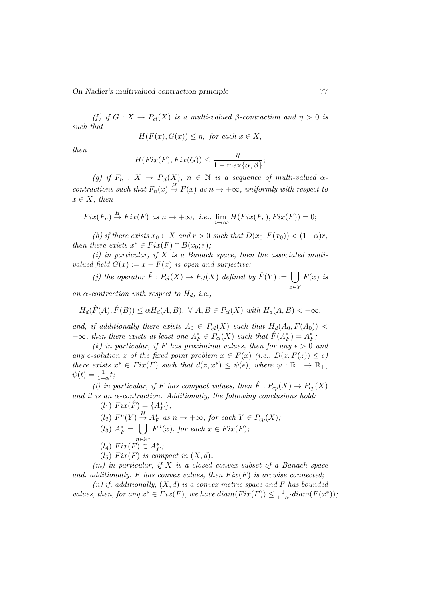(f) if  $G: X \to P_{cl}(X)$  is a multi-valued  $\beta$ -contraction and  $\eta > 0$  is such that

$$
H(F(x), G(x)) \le \eta, \text{ for each } x \in X,
$$

then

$$
H(Fix(F), Fix(G)) \le \frac{\eta}{1 - \max\{\alpha, \beta\}};
$$

(g) if  $F_n : X \to P_{cl}(X)$ ,  $n \in \mathbb{N}$  is a sequence of multi-valued  $\alpha$ contractions such that  $F_n(x) \stackrel{H}{\to} F(x)$  as  $n \to +\infty$ , uniformly with respect to  $x \in X$ , then

$$
Fix(F_n) \stackrel{H}{\to} Fix(F) \text{ as } n \to +\infty, \ i.e., \lim_{n \to \infty} H(Fix(F_n), Fix(F)) = 0;
$$

(h) if there exists  $x_0 \in X$  and  $r > 0$  such that  $D(x_0, F(x_0)) < (1-\alpha)r$ , then there exists  $x^* \in Fix(F) \cap B(x_0; r)$ ;

 $(i)$  in particular, if X is a Banach space, then the associated multivalued field  $G(x) := x - F(x)$  is open and surjective;

(j) the operator 
$$
\hat{F}: P_{cl}(X) \to P_{cl}(X)
$$
 defined by  $\hat{F}(Y) := \bigcup_{x \in Y} F(x)$  is

an  $\alpha$ -contraction with respect to  $H_d$ , *i.e.*,

$$
H_d(\hat{F}(A), \hat{F}(B)) \le \alpha H_d(A, B), \ \forall \ A, B \in P_{cl}(X) \ with \ H_d(A, B) < +\infty,
$$

and, if additionally there exists  $A_0 \in P_{cl}(X)$  such that  $H_d(A_0, F(A_0))$  <  $+\infty$ , then there exists at least one  $A_F^* \in P_{cl}(X)$  such that  $\hat{F}(A_F^*) = A_F^*$ ;

(k) in particular, if F has proximinal values, then for any  $\epsilon > 0$  and any  $\epsilon$ -solution z of the fixed point problem  $x \in F(x)$  (i.e.,  $D(z, F(z)) \leq \epsilon$ ) there exists  $x^* \in Fix(F)$  such that  $d(z, x^*) \leq \psi(\epsilon)$ , where  $\psi : \mathbb{R}_+ \to \mathbb{R}_+$ ,  $\psi(t) = \frac{1}{1-\alpha}t;$ 

(l) in particular, if F has compact values, then  $\hat{F}: P_{cp}(X) \to P_{cp}(X)$ and it is an  $\alpha$ -contraction. Additionally, the following conclusions hold:

- $(l_1) \ Fix(\hat{F}) = \{A_F^*\};$
- $(l_2)$   $F^n(Y) \stackrel{H}{\rightarrow} A_F^*$  as  $n \rightarrow +\infty$ , for each  $Y \in P_{cp}(X)$ ;
- $(l_3) A_F^* = \bigcup$ n∈N<sup>∗</sup>  $F^{n}(x)$ , for each  $x \in Fix(F)$ ;
- $(l_4) \ Fix(F) \subset A_F^*;$
- $(l_5) Fix(F)$  is compact in  $(X, d)$ .

 $(m)$  in particular, if X is a closed convex subset of a Banach space and, additionally, F has convex values, then  $Fix(F)$  is arcwise connected;

 $(n)$  if, additionally,  $(X, d)$  is a convex metric space and F has bounded values, then, for any  $x^* \in Fix(F)$ , we have  $diam(Fix(F)) \leq \frac{1}{1-\alpha} \cdot diam(F(x^*)),$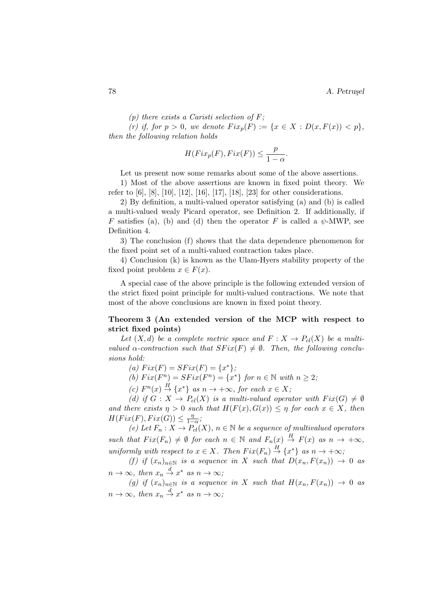$(p)$  there exists a Caristi selection of F;

(r) if, for  $p > 0$ , we denote  $Fix_p(F) := \{x \in X : D(x, F(x)) < p\},\$ then the following relation holds

$$
H(Fix_p(F), Fix(F)) \le \frac{p}{1-\alpha}.
$$

Let us present now some remarks about some of the above assertions.

1) Most of the above assertions are known in fixed point theory. We refer to [6], [8], [10], [12], [16], [17], [18], [23] for other considerations.

2) By definition, a multi-valued operator satisfying (a) and (b) is called a multi-valued wealy Picard operator, see Definition 2. If additionally, if F satisfies (a), (b) and (d) then the operator F is called a  $\psi$ -MWP, see Definition 4.

3) The conclusion (f) shows that the data dependence phenomenon for the fixed point set of a multi-valued contraction takes place.

4) Conclusion (k) is known as the Ulam-Hyers stability property of the fixed point problem  $x \in F(x)$ .

A special case of the above principle is the following extended version of the strict fixed point principle for multi-valued contractions. We note that most of the above conclusions are known in fixed point theory.

#### Theorem 3 (An extended version of the MCP with respect to strict fixed points)

Let  $(X, d)$  be a complete metric space and  $F: X \to P_{cl}(X)$  be a multivalued  $\alpha$ -contraction such that  $SFix(F) \neq \emptyset$ . Then, the following conclusions hold:

(a)  $Fix(F) = SFix(F) = \{x^*\};$ 

(b)  $Fix(F^n) = SFix(F^n) = \{x^*\}$  for  $n \in \mathbb{N}$  with  $n \geq 2$ ;

(c)  $F^{n}(x) \stackrel{H}{\rightarrow} \{x^*\}$  as  $n \rightarrow +\infty$ , for each  $x \in X$ ;

(d) if  $G: X \to P_{cl}(X)$  is a multi-valued operator with  $Fix(G) \neq \emptyset$ and there exists  $\eta > 0$  such that  $H(F(x), G(x)) \leq \eta$  for each  $x \in X$ , then  $H(Fix(F), Fix(G)) \leq \frac{\eta}{1-\eta}$  $\frac{\eta}{1-\alpha}$ ;

(e) Let  $F_n: X \to P_{cl}(X)$ ,  $n \in \mathbb{N}$  be a sequence of multivalued operators such that  $Fix(F_n) \neq \emptyset$  for each  $n \in \mathbb{N}$  and  $F_n(x) \stackrel{H}{\to} F(x)$  as  $n \to +\infty$ , uniformly with respect to  $x \in X$ . Then  $Fix(F_n) \stackrel{H}{\to} \{x^*\}$  as  $n \to +\infty$ ;

(f) if  $(x_n)_{n\in\mathbb{N}}$  is a sequence in X such that  $D(x_n, F(x_n)) \to 0$  as  $n \to \infty$ , then  $x_n \stackrel{d}{\to} x^*$  as  $n \to \infty$ ;

(g) if  $(x_n)_{n\in\mathbb{N}}$  is a sequence in X such that  $H(x_n, F(x_n)) \to 0$  as  $n \to \infty$ , then  $x_n \stackrel{d}{\to} x^*$  as  $n \to \infty$ ;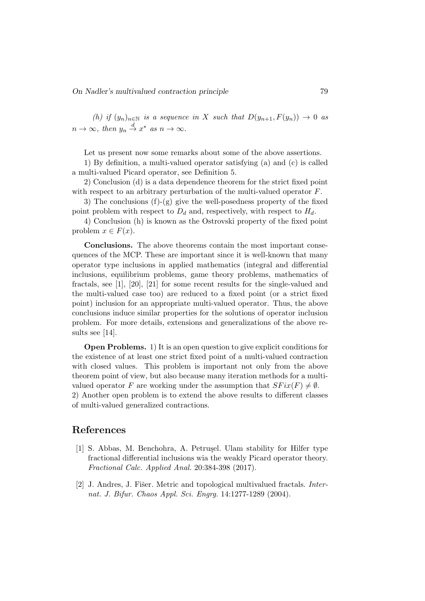(h) if  $(y_n)_{n\in\mathbb{N}}$  is a sequence in X such that  $D(y_{n+1}, F(y_n)) \to 0$  as  $n \to \infty$ , then  $y_n \stackrel{d}{\to} x^*$  as  $n \to \infty$ .

Let us present now some remarks about some of the above assertions.

1) By definition, a multi-valued operator satisfying (a) and (c) is called a multi-valued Picard operator, see Definition 5.

2) Conclusion (d) is a data dependence theorem for the strict fixed point with respect to an arbitrary perturbation of the multi-valued operator  $F$ .

3) The conclusions (f)-(g) give the well-posedness property of the fixed point problem with respect to  $D_d$  and, respectively, with respect to  $H_d$ .

4) Conclusion (h) is known as the Ostrovski property of the fixed point problem  $x \in F(x)$ .

Conclusions. The above theorems contain the most important consequences of the MCP. These are important since it is well-known that many operator type inclusions in applied mathematics (integral and differential inclusions, equilibrium problems, game theory problems, mathematics of fractals, see [1], [20], [21] for some recent results for the single-valued and the multi-valued case too) are reduced to a fixed point (or a strict fixed point) inclusion for an appropriate multi-valued operator. Thus, the above conclusions induce similar properties for the solutions of operator inclusion problem. For more details, extensions and generalizations of the above results see [14].

Open Problems. 1) It is an open question to give explicit conditions for the existence of at least one strict fixed point of a multi-valued contraction with closed values. This problem is important not only from the above theorem point of view, but also because many iteration methods for a multivalued operator F are working under the assumption that  $SFix(F) \neq \emptyset$ .

2) Another open problem is to extend the above results to different classes of multi-valued generalized contractions.

#### References

- [1] S. Abbas, M. Benchohra, A. Petruşel. Ulam stability for Hilfer type fractional differential inclusions wia the weakly Picard operator theory. Fractional Calc. Applied Anal. 20:384-398 (2017).
- [2] J. Andres, J. Fišer. Metric and topological multivalued fractals. *Inter*nat. J. Bifur. Chaos Appl. Sci. Engrg. 14:1277-1289 (2004).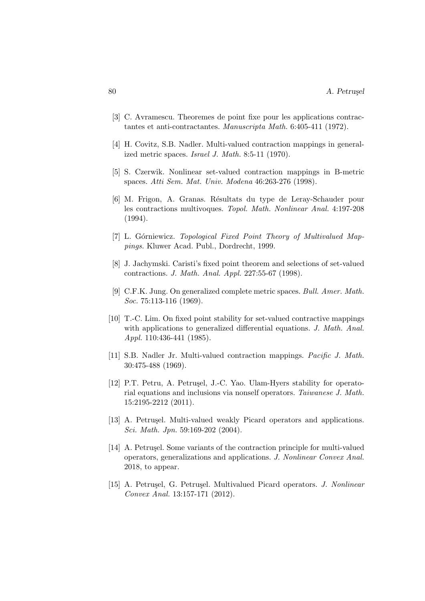- [3] C. Avramescu. Theoremes de point fixe pour les applications contractantes et anti-contractantes. Manuscripta Math. 6:405-411 (1972).
- [4] H. Covitz, S.B. Nadler. Multi-valued contraction mappings in generalized metric spaces. Israel J. Math. 8:5-11 (1970).
- [5] S. Czerwik. Nonlinear set-valued contraction mappings in B-metric spaces. Atti Sem. Mat. Univ. Modena 46:263-276 (1998).
- [6] M. Frigon, A. Granas. Résultats du type de Leray-Schauder pour les contractions multivoques. Topol. Math. Nonlinear Anal. 4:197-208 (1994).
- [7] L. Górniewicz. Topological Fixed Point Theory of Multivalued Mappings. Kluwer Acad. Publ., Dordrecht, 1999.
- [8] J. Jachymski. Caristi's fixed point theorem and selections of set-valued contractions. J. Math. Anal. Appl. 227:55-67 (1998).
- [9] C.F.K. Jung. On generalized complete metric spaces. Bull. Amer. Math. Soc. 75:113-116 (1969).
- [10] T.-C. Lim. On fixed point stability for set-valued contractive mappings with applications to generalized differential equations. J. Math. Anal. Appl. 110:436-441 (1985).
- [11] S.B. Nadler Jr. Multi-valued contraction mappings. Pacific J. Math. 30:475-488 (1969).
- [12] P.T. Petru, A. Petrușel, J.-C. Yao. Ulam-Hyers stability for operatorial equations and inclusions via nonself operators. Taiwanese J. Math. 15:2195-2212 (2011).
- [13] A. Petrusel. Multi-valued weakly Picard operators and applications. Sci. Math. Jpn. 59:169-202 (2004).
- [14] A. Petrusel. Some variants of the contraction principle for multi-valued operators, generalizations and applications. J. Nonlinear Convex Anal. 2018, to appear.
- [15] A. Petrusel, G. Petrusel. Multivalued Picard operators. J. Nonlinear Convex Anal. 13:157-171 (2012).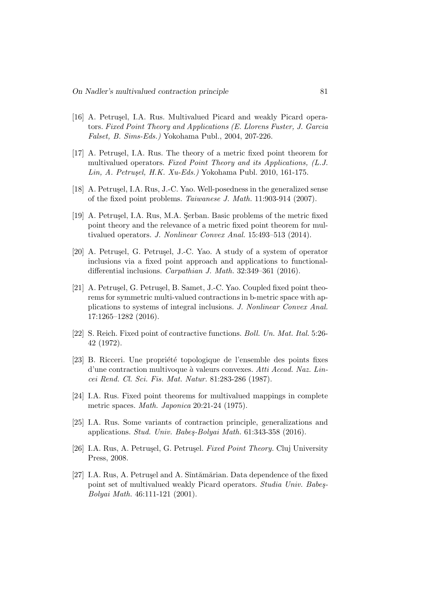- [16] A. Petrusel, I.A. Rus. Multivalued Picard and weakly Picard operators. Fixed Point Theory and Applications (E. Llorens Fuster, J. Garcia Falset, B. Sims-Eds.) Yokohama Publ., 2004, 207-226.
- [17] A. Petrusel, I.A. Rus. The theory of a metric fixed point theorem for multivalued operators. Fixed Point Theory and its Applications, (L.J. Lin, A. Petrușel, H.K. Xu-Eds.) Yokohama Publ. 2010, 161-175.
- [18] A. Petru¸sel, I.A. Rus, J.-C. Yao. Well-posedness in the generalized sense of the fixed point problems. Taiwanese J. Math. 11:903-914 (2007).
- [19] A. Petrusel, I.A. Rus, M.A. Serban. Basic problems of the metric fixed point theory and the relevance of a metric fixed point theorem for multivalued operators. J. Nonlinear Convex Anal. 15:493–513 (2014).
- [20] A. Petrușel, G. Petrușel, J.-C. Yao. A study of a system of operator inclusions via a fixed point approach and applications to functionaldifferential inclusions. Carpathian J. Math. 32:349–361 (2016).
- [21] A. Petruşel, G. Petruşel, B. Samet, J.-C. Yao. Coupled fixed point theorems for symmetric multi-valued contractions in b-metric space with applications to systems of integral inclusions. J. Nonlinear Convex Anal. 17:1265–1282 (2016).
- [22] S. Reich. Fixed point of contractive functions. Boll. Un. Mat. Ital. 5:26- 42 (1972).
- [23] B. Ricceri. Une propriété topologique de l'ensemble des points fixes d'une contraction multivoque à valeurs convexes. Atti Accad. Naz. Lincei Rend. Cl. Sci. Fis. Mat. Natur. 81:283-286 (1987).
- [24] I.A. Rus. Fixed point theorems for multivalued mappings in complete metric spaces. Math. Japonica 20:21-24 (1975).
- [25] I.A. Rus. Some variants of contraction principle, generalizations and applications. Stud. Univ. Babes-Bolyai Math.  $61:343-358$  (2016).
- [26] I.A. Rus, A. Petrușel, G. Petrușel. Fixed Point Theory. Cluj University Press, 2008.
- [27] I.A. Rus, A. Petrușel and A. Sîntămărian. Data dependence of the fixed point set of multivalued weakly Picard operators. *Studia Univ. Babes*-Bolyai Math. 46:111-121 (2001).